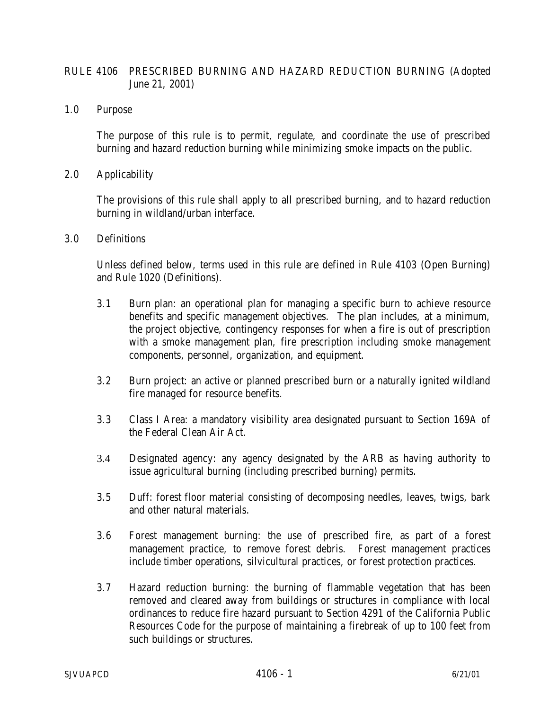## RULE 4106 PRESCRIBED BURNING AND HAZARD REDUCTION BURNING (Adopted June 21, 2001)

1.0 Purpose

The purpose of this rule is to permit, regulate, and coordinate the use of prescribed burning and hazard reduction burning while minimizing smoke impacts on the public.

2.0 Applicability

The provisions of this rule shall apply to all prescribed burning, and to hazard reduction burning in wildland/urban interface.

3.0 Definitions

Unless defined below, terms used in this rule are defined in Rule 4103 (Open Burning) and Rule 1020 (Definitions).

- 3.1 Burn plan: an operational plan for managing a specific burn to achieve resource benefits and specific management objectives. The plan includes, at a minimum, the project objective, contingency responses for when a fire is out of prescription with a smoke management plan, fire prescription including smoke management components, personnel, organization, and equipment.
- 3.2 Burn project: an active or planned prescribed burn or a naturally ignited wildland fire managed for resource benefits.
- 3.3 Class I Area: a mandatory visibility area designated pursuant to Section 169A of the Federal Clean Air Act.
- 3.4 Designated agency: any agency designated by the ARB as having authority to issue agricultural burning (including prescribed burning) permits.
- 3.5 Duff: forest floor material consisting of decomposing needles, leaves, twigs, bark and other natural materials.
- 3.6 Forest management burning: the use of prescribed fire, as part of a forest management practice, to remove forest debris. Forest management practices include timber operations, silvicultural practices, or forest protection practices.
- 3.7 Hazard reduction burning: the burning of flammable vegetation that has been removed and cleared away from buildings or structures in compliance with local ordinances to reduce fire hazard pursuant to Section 4291 of the California Public Resources Code for the purpose of maintaining a firebreak of up to 100 feet from such buildings or structures.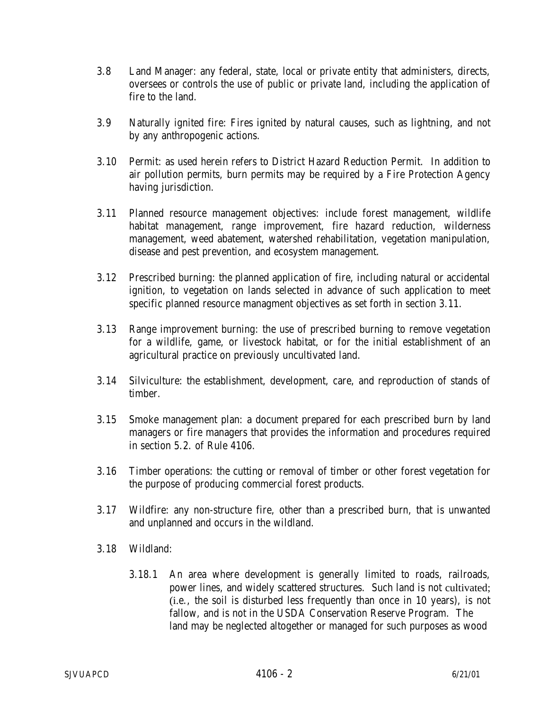- 3.8 Land Manager: any federal, state, local or private entity that administers, directs, oversees or controls the use of public or private land, including the application of fire to the land.
- 3.9 Naturally ignited fire: Fires ignited by natural causes, such as lightning, and not by any anthropogenic actions.
- 3.10 Permit: as used herein refers to District Hazard Reduction Permit. In addition to air pollution permits, burn permits may be required by a Fire Protection Agency having jurisdiction.
- 3.11 Planned resource management objectives: include forest management, wildlife habitat management, range improvement, fire hazard reduction, wilderness management, weed abatement, watershed rehabilitation, vegetation manipulation, disease and pest prevention, and ecosystem management.
- 3.12 Prescribed burning: the planned application of fire, including natural or accidental ignition, to vegetation on lands selected in advance of such application to meet specific planned resource managment objectives as set forth in section 3.11.
- 3.13 Range improvement burning: the use of prescribed burning to remove vegetation for a wildlife, game, or livestock habitat, or for the initial establishment of an agricultural practice on previously uncultivated land.
- 3.14 Silviculture: the establishment, development, care, and reproduction of stands of timber.
- 3.15 Smoke management plan: a document prepared for each prescribed burn by land managers or fire managers that provides the information and procedures required in section 5.2. of Rule 4106.
- 3.16 Timber operations: the cutting or removal of timber or other forest vegetation for the purpose of producing commercial forest products.
- 3.17 Wildfire: any non-structure fire, other than a prescribed burn, that is unwanted and unplanned and occurs in the wildland.
- 3.18 Wildland:
	- 3.18.1 An area where development is generally limited to roads, railroads, power lines, and widely scattered structures. Such land is not cultivated; (i.e., the soil is disturbed less frequently than once in 10 years), is not fallow, and is not in the USDA Conservation Reserve Program. The land may be neglected altogether or managed for such purposes as wood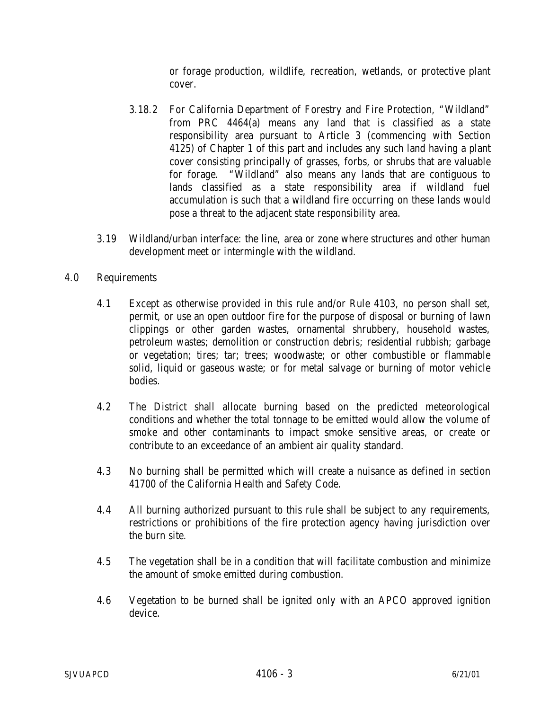or forage production, wildlife, recreation, wetlands, or protective plant cover.

- 3.18.2 For California Department of Forestry and Fire Protection, "Wildland" from PRC 4464(a) means any land that is classified as a state responsibility area pursuant to Article 3 (commencing with Section 4125) of Chapter 1 of this part and includes any such land having a plant cover consisting principally of grasses, forbs, or shrubs that are valuable for forage. "Wildland" also means any lands that are contiguous to lands classified as a state responsibility area if wildland fuel accumulation is such that a wildland fire occurring on these lands would pose a threat to the adjacent state responsibility area.
- 3.19 Wildland/urban interface: the line, area or zone where structures and other human development meet or intermingle with the wildland.

## 4.0 Requirements

- 4.1 Except as otherwise provided in this rule and/or Rule 4103, no person shall set, permit, or use an open outdoor fire for the purpose of disposal or burning of lawn clippings or other garden wastes, ornamental shrubbery, household wastes, petroleum wastes; demolition or construction debris; residential rubbish; garbage or vegetation; tires; tar; trees; woodwaste; or other combustible or flammable solid, liquid or gaseous waste; or for metal salvage or burning of motor vehicle bodies.
- 4.2 The District shall allocate burning based on the predicted meteorological conditions and whether the total tonnage to be emitted would allow the volume of smoke and other contaminants to impact smoke sensitive areas, or create or contribute to an exceedance of an ambient air quality standard.
- 4.3 No burning shall be permitted which will create a nuisance as defined in section 41700 of the California Health and Safety Code.
- 4.4 All burning authorized pursuant to this rule shall be subject to any requirements, restrictions or prohibitions of the fire protection agency having jurisdiction over the burn site.
- 4.5 The vegetation shall be in a condition that will facilitate combustion and minimize the amount of smoke emitted during combustion.
- 4.6 Vegetation to be burned shall be ignited only with an APCO approved ignition device.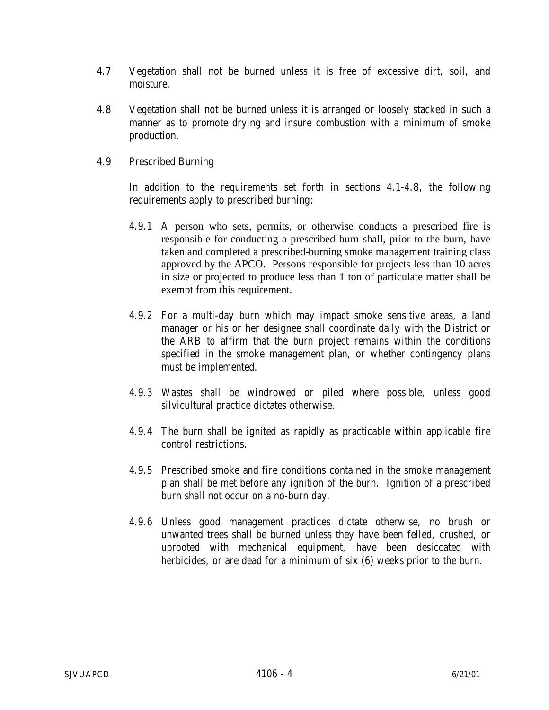- 4.7 Vegetation shall not be burned unless it is free of excessive dirt, soil, and moisture.
- 4.8 Vegetation shall not be burned unless it is arranged or loosely stacked in such a manner as to promote drying and insure combustion with a minimum of smoke production.
- 4.9 Prescribed Burning

In addition to the requirements set forth in sections 4.1-4.8**,** the following requirements apply to prescribed burning:

- 4.9.1 A person who sets, permits, or otherwise conducts a prescribed fire is responsible for conducting a prescribed burn shall, prior to the burn, have taken and completed a prescribed burning smoke management training class approved by the APCO. Persons responsible for projects less than 10 acres in size or projected to produce less than 1 ton of particulate matter shall be exempt from this requirement.
- 4.9.2 For a multi-day burn which may impact smoke sensitive areas, a land manager or his or her designee shall coordinate daily with the District or the ARB to affirm that the burn project remains within the conditions specified in the smoke management plan, or whether contingency plans must be implemented.
- 4.9.3 Wastes shall be windrowed or piled where possible, unless good silvicultural practice dictates otherwise.
- 4.9.4 The burn shall be ignited as rapidly as practicable within applicable fire control restrictions.
- 4.9.5 Prescribed smoke and fire conditions contained in the smoke management plan shall be met before any ignition of the burn. Ignition of a prescribed burn shall not occur on a no-burn day.
- 4.9.6 Unless good management practices dictate otherwise, no brush or unwanted trees shall be burned unless they have been felled, crushed, or uprooted with mechanical equipment, have been desiccated with herbicides, or are dead for a minimum of six (6) weeks prior to the burn.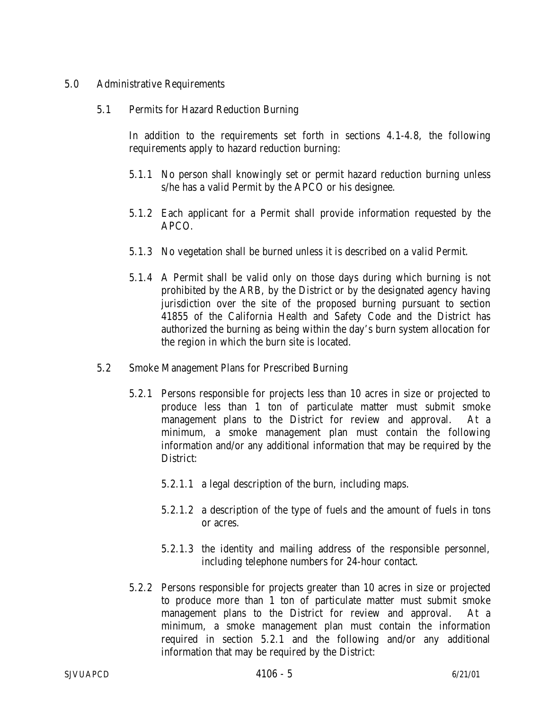## 5.0 Administrative Requirements

## 5.1 Permits for Hazard Reduction Burning

In addition to the requirements set forth in sections 4.1-4.8, the following requirements apply to hazard reduction burning:

- 5.1.1 No person shall knowingly set or permit hazard reduction burning unless s/he has a valid Permit by the APCO or his designee.
- 5.1.2 Each applicant for a Permit shall provide information requested by the APCO.
- 5.1.3 No vegetation shall be burned unless it is described on a valid Permit.
- 5.1.4 A Permit shall be valid only on those days during which burning is not prohibited by the ARB, by the District or by the designated agency having jurisdiction over the site of the proposed burning pursuant to section 41855 of the California Health and Safety Code and the District has authorized the burning as being within the day's burn system allocation for the region in which the burn site is located.
- 5.2 Smoke Management Plans for Prescribed Burning
	- 5.2.1 Persons responsible for projects less than 10 acres in size or projected to produce less than 1 ton of particulate matter must submit smoke management plans to the District for review and approval. At a minimum, a smoke management plan must contain the following information and/or any additional information that may be required by the District:
		- 5.2.1.1 a legal description of the burn, including maps.
		- 5.2.1.2 a description of the type of fuels and the amount of fuels in tons or acres.
		- 5.2.1.3 the identity and mailing address of the responsible personnel, including telephone numbers for 24-hour contact.
	- 5.2.2 Persons responsible for projects greater than 10 acres in size or projected to produce more than 1 ton of particulate matter must submit smoke management plans to the District for review and approval. At a minimum, a smoke management plan must contain the information required in section 5.2.1 and the following and/or any additional information that may be required by the District: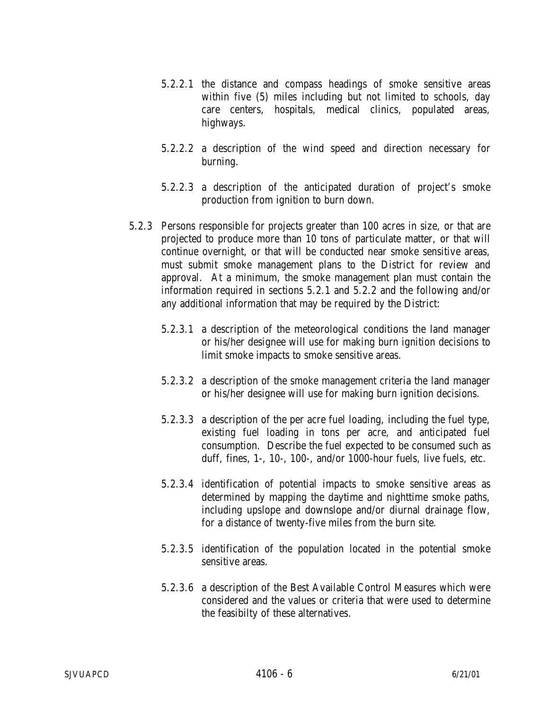- 5.2.2.1 the distance and compass headings of smoke sensitive areas within five (5) miles including but not limited to schools, day care centers, hospitals, medical clinics, populated areas, highways.
- 5.2.2.2 a description of the wind speed and direction necessary for burning.
- 5.2.2.3 a description of the anticipated duration of project's smoke production from ignition to burn down.
- 5.2.3 Persons responsible for projects greater than 100 acres in size, or that are projected to produce more than 10 tons of particulate matter, or that will continue overnight, or that will be conducted near smoke sensitive areas, must submit smoke management plans to the District for review and approval. At a minimum, the smoke management plan must contain the information required in sections 5.2.1 and 5.2.2 and the following and/or any additional information that may be required by the District:
	- 5.2.3.1 a description of the meteorological conditions the land manager or his/her designee will use for making burn ignition decisions to limit smoke impacts to smoke sensitive areas.
	- 5.2.3.2 a description of the smoke management criteria the land manager or his/her designee will use for making burn ignition decisions.
	- 5.2.3.3 a description of the per acre fuel loading, including the fuel type, existing fuel loading in tons per acre, and anticipated fuel consumption. Describe the fuel expected to be consumed such as duff, fines, 1-, 10-, 100-, and/or 1000-hour fuels, live fuels, etc.
	- 5.2.3.4 identification of potential impacts to smoke sensitive areas as determined by mapping the daytime and nighttime smoke paths, including upslope and downslope and/or diurnal drainage flow, for a distance of twenty-five miles from the burn site.
	- 5.2.3.5 identification of the population located in the potential smoke sensitive areas.
	- 5.2.3.6 a description of the Best Available Control Measures which were considered and the values or criteria that were used to determine the feasibilty of these alternatives.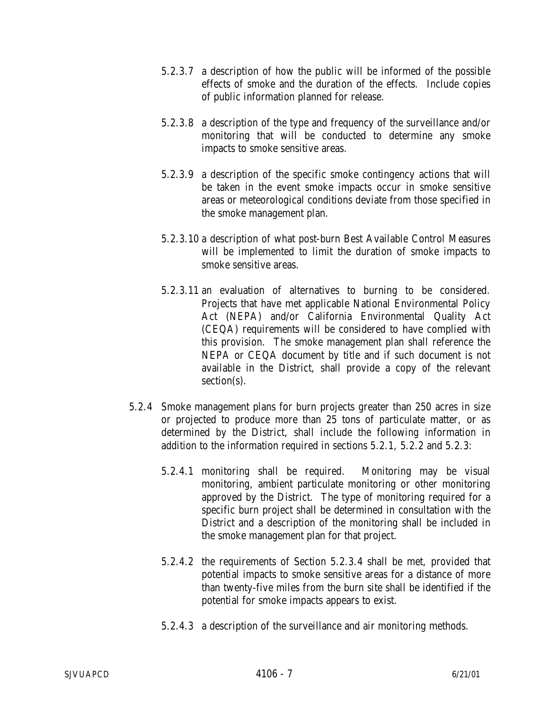- 5.2.3.7 a description of how the public will be informed of the possible effects of smoke and the duration of the effects. Include copies of public information planned for release.
- 5.2.3.8 a description of the type and frequency of the surveillance and/or monitoring that will be conducted to determine any smoke impacts to smoke sensitive areas.
- 5.2.3.9 a description of the specific smoke contingency actions that will be taken in the event smoke impacts occur in smoke sensitive areas or meteorological conditions deviate from those specified in the smoke management plan.
- 5.2.3.10 a description of what post-burn Best Available Control Measures will be implemented to limit the duration of smoke impacts to smoke sensitive areas.
- 5.2.3.11 an evaluation of alternatives to burning to be considered. Projects that have met applicable National Environmental Policy Act (NEPA) and/or California Environmental Quality Act (CEQA) requirements will be considered to have complied with this provision. The smoke management plan shall reference the NEPA or CEQA document by title and if such document is not available in the District, shall provide a copy of the relevant section(s).
- 5.2.4 Smoke management plans for burn projects greater than 250 acres in size or projected to produce more than 25 tons of particulate matter, or as determined by the District, shall include the following information in addition to the information required in sections 5.2.1, 5.2.2 and 5.2.3:
	- 5.2.4.1 monitoring shall be required. Monitoring may be visual monitoring, ambient particulate monitoring or other monitoring approved by the District. The type of monitoring required for a specific burn project shall be determined in consultation with the District and a description of the monitoring shall be included in the smoke management plan for that project.
	- 5.2.4.2 the requirements of Section 5.2.3.4 shall be met, provided that potential impacts to smoke sensitive areas for a distance of more than twenty-five miles from the burn site shall be identified if the potential for smoke impacts appears to exist.
	- 5.2.4.3 a description of the surveillance and air monitoring methods.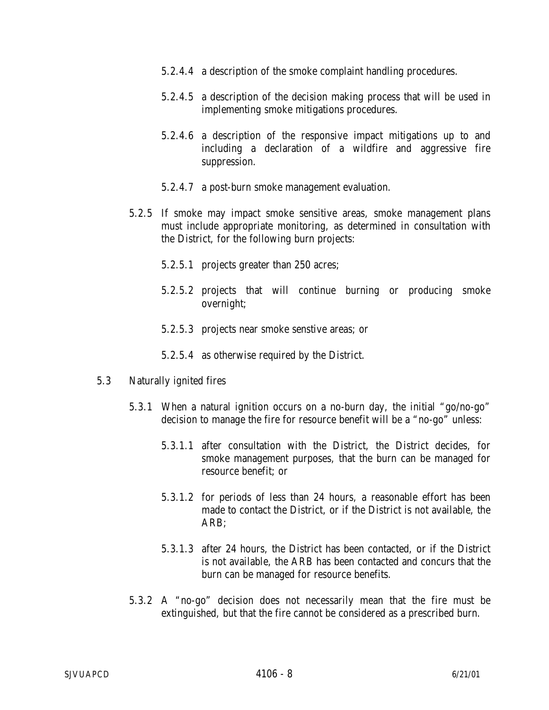- 5.2.4.4 a description of the smoke complaint handling procedures.
- 5.2.4.5 a description of the decision making process that will be used in implementing smoke mitigations procedures.
- 5.2.4.6 a description of the responsive impact mitigations up to and including a declaration of a wildfire and aggressive fire suppression.
- 5.2.4.7 a post-burn smoke management evaluation.
- 5.2.5 If smoke may impact smoke sensitive areas, smoke management plans must include appropriate monitoring, as determined in consultation with the District, for the following burn projects:
	- 5.2.5.1 projects greater than 250 acres;
	- 5.2.5.2 projects that will continue burning or producing smoke overnight;
	- 5.2.5.3 projects near smoke senstive areas; or
	- 5.2.5.4 as otherwise required by the District.
- 5.3 Naturally ignited fires
	- 5.3.1 When a natural ignition occurs on a no-burn day, the initial "go/no-go" decision to manage the fire for resource benefit will be a "no-go" unless:
		- 5.3.1.1 after consultation with the District, the District decides, for smoke management purposes, that the burn can be managed for resource benefit; or
		- 5.3.1.2 for periods of less than 24 hours, a reasonable effort has been made to contact the District, or if the District is not available, the ARB;
		- 5.3.1.3 after 24 hours, the District has been contacted, or if the District is not available, the ARB has been contacted and concurs that the burn can be managed for resource benefits.
	- 5.3.2 A "no-go" decision does not necessarily mean that the fire must be extinguished, but that the fire cannot be considered as a prescribed burn.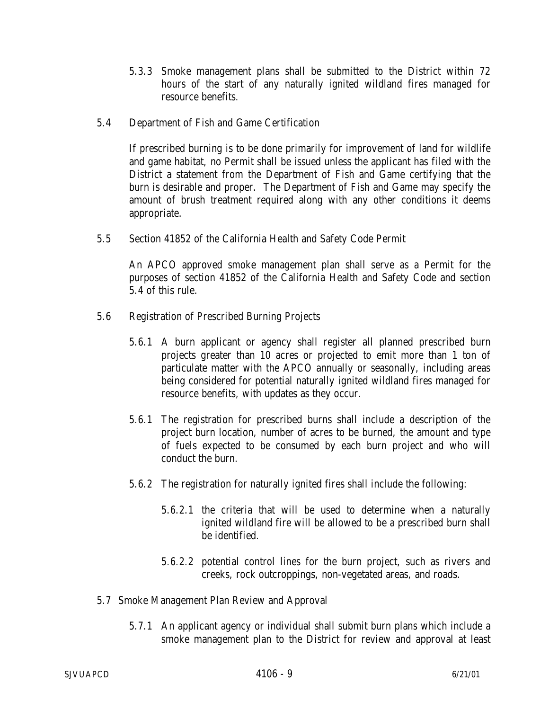- 5.3.3 Smoke management plans shall be submitted to the District within 72 hours of the start of any naturally ignited wildland fires managed for resource benefits.
- 5.4 Department of Fish and Game Certification

If prescribed burning is to be done primarily for improvement of land for wildlife and game habitat, no Permit shall be issued unless the applicant has filed with the District a statement from the Department of Fish and Game certifying that the burn is desirable and proper. The Department of Fish and Game may specify the amount of brush treatment required along with any other conditions it deems appropriate.

5.5 Section 41852 of the California Health and Safety Code Permit

An APCO approved smoke management plan shall serve as a Permit for the purposes of section 41852 of the California Health and Safety Code and section 5.4 of this rule.

- 5.6 Registration of Prescribed Burning Projects
	- 5.6.1 A burn applicant or agency shall register all planned prescribed burn projects greater than 10 acres or projected to emit more than 1 ton of particulate matter with the APCO annually or seasonally, including areas being considered for potential naturally ignited wildland fires managed for resource benefits, with updates as they occur.
	- 5.6.1 The registration for prescribed burns shall include a description of the project burn location, number of acres to be burned, the amount and type of fuels expected to be consumed by each burn project and who will conduct the burn.
	- 5.6.2 The registration for naturally ignited fires shall include the following:
		- 5.6.2.1 the criteria that will be used to determine when a naturally ignited wildland fire will be allowed to be a prescribed burn shall be identified.
		- 5.6.2.2 potential control lines for the burn project, such as rivers and creeks, rock outcroppings, non-vegetated areas, and roads.
- 5.7 Smoke Management Plan Review and Approval
	- 5.7.1 An applicant agency or individual shall submit burn plans which include a smoke management plan to the District for review and approval at least